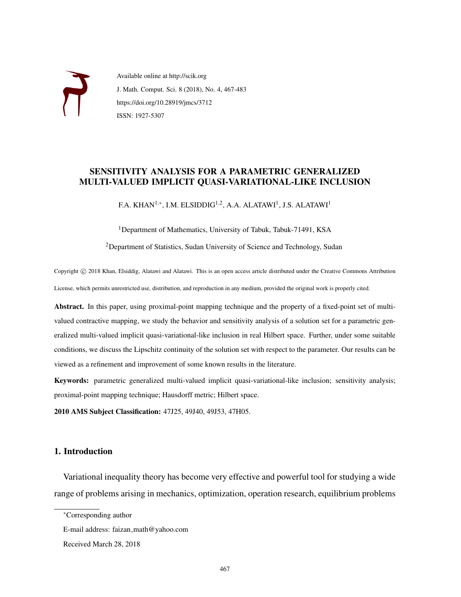

Available online at http://scik.org J. Math. Comput. Sci. 8 (2018), No. 4, 467-483 https://doi.org/10.28919/jmcs/3712 ISSN: 1927-5307

# SENSITIVITY ANALYSIS FOR A PARAMETRIC GENERALIZED MULTI-VALUED IMPLICIT QUASI-VARIATIONAL-LIKE INCLUSION

F.A. KHAN $^{1,\ast}$ , I.M. ELSIDDIG $^{1,2}$ , A.A. ALATAWI $^{1}$ , J.S. ALATAWI $^{1}$ 

<sup>1</sup>Department of Mathematics, University of Tabuk, Tabuk-71491, KSA

<sup>2</sup>Department of Statistics, Sudan University of Science and Technology, Sudan

Copyright © 2018 Khan, Elsiddig, Alatawi and Alatawi. This is an open access article distributed under the Creative Commons Attribution License, which permits unrestricted use, distribution, and reproduction in any medium, provided the original work is properly cited.

Abstract. In this paper, using proximal-point mapping technique and the property of a fixed-point set of multivalued contractive mapping, we study the behavior and sensitivity analysis of a solution set for a parametric generalized multi-valued implicit quasi-variational-like inclusion in real Hilbert space. Further, under some suitable conditions, we discuss the Lipschitz continuity of the solution set with respect to the parameter. Our results can be viewed as a refinement and improvement of some known results in the literature.

Keywords: parametric generalized multi-valued implicit quasi-variational-like inclusion; sensitivity analysis; proximal-point mapping technique; Hausdorff metric; Hilbert space.

2010 AMS Subject Classification: 47J25, 49J40, 49J53, 47H05.

## 1. Introduction

Variational inequality theory has become very effective and powerful tool for studying a wide range of problems arising in mechanics, optimization, operation research, equilibrium problems

<sup>∗</sup>Corresponding author

E-mail address: faizan math@yahoo.com

Received March 28, 2018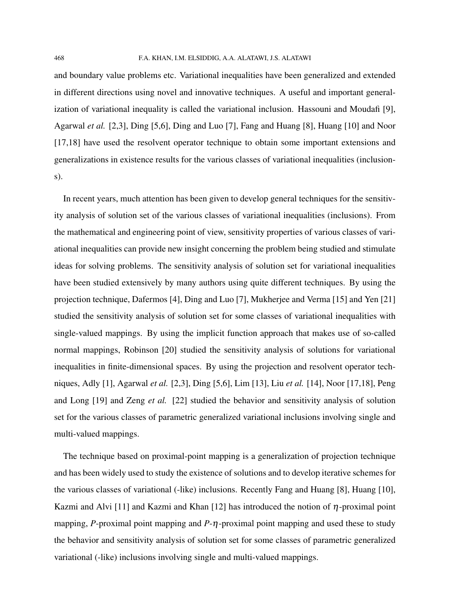and boundary value problems etc. Variational inequalities have been generalized and extended in different directions using novel and innovative techniques. A useful and important generalization of variational inequality is called the variational inclusion. Hassouni and Moudafi [9], Agarwal *et al.* [2,3], Ding [5,6], Ding and Luo [7], Fang and Huang [8], Huang [10] and Noor [17,18] have used the resolvent operator technique to obtain some important extensions and generalizations in existence results for the various classes of variational inequalities (inclusions).

In recent years, much attention has been given to develop general techniques for the sensitivity analysis of solution set of the various classes of variational inequalities (inclusions). From the mathematical and engineering point of view, sensitivity properties of various classes of variational inequalities can provide new insight concerning the problem being studied and stimulate ideas for solving problems. The sensitivity analysis of solution set for variational inequalities have been studied extensively by many authors using quite different techniques. By using the projection technique, Dafermos [4], Ding and Luo [7], Mukherjee and Verma [15] and Yen [21] studied the sensitivity analysis of solution set for some classes of variational inequalities with single-valued mappings. By using the implicit function approach that makes use of so-called normal mappings, Robinson [20] studied the sensitivity analysis of solutions for variational inequalities in finite-dimensional spaces. By using the projection and resolvent operator techniques, Adly [1], Agarwal *et al.* [2,3], Ding [5,6], Lim [13], Liu *et al.* [14], Noor [17,18], Peng and Long [19] and Zeng *et al.* [22] studied the behavior and sensitivity analysis of solution set for the various classes of parametric generalized variational inclusions involving single and multi-valued mappings.

The technique based on proximal-point mapping is a generalization of projection technique and has been widely used to study the existence of solutions and to develop iterative schemes for the various classes of variational (-like) inclusions. Recently Fang and Huang [8], Huang [10], Kazmi and Alvi [11] and Kazmi and Khan [12] has introduced the notion of  $\eta$ -proximal point mapping, *P*-proximal point mapping and *P*-η-proximal point mapping and used these to study the behavior and sensitivity analysis of solution set for some classes of parametric generalized variational (-like) inclusions involving single and multi-valued mappings.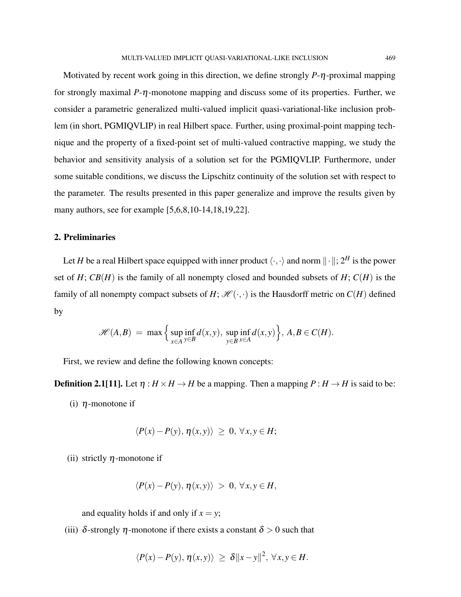Motivated by recent work going in this direction, we define strongly *P*-η-proximal mapping for strongly maximal *P*-η-monotone mapping and discuss some of its properties. Further, we consider a parametric generalized multi-valued implicit quasi-variational-like inclusion problem (in short, PGMIQVLIP) in real Hilbert space. Further, using proximal-point mapping technique and the property of a fixed-point set of multi-valued contractive mapping, we study the behavior and sensitivity analysis of a solution set for the PGMIQVLIP. Furthermore, under some suitable conditions, we discuss the Lipschitz continuity of the solution set with respect to the parameter. The results presented in this paper generalize and improve the results given by many authors, see for example [5,6,8,10-14,18,19,22].

### 2. Preliminaries

Let *H* be a real Hilbert space equipped with inner product  $\langle \cdot, \cdot \rangle$  and norm  $\|\cdot\|$ ;  $2^H$  is the power set of  $H$ ;  $CB(H)$  is the family of all nonempty closed and bounded subsets of  $H$ ;  $C(H)$  is the family of all nonempty compact subsets of *H*;  $\mathcal{H}(\cdot,\cdot)$  is the Hausdorff metric on  $C(H)$  defined by

$$
\mathscr{H}(A,B) = \max \left\{ \sup_{x \in A} \inf_{y \in B} d(x,y), \sup_{y \in B} \inf_{x \in A} d(x,y) \right\}, A,B \in C(H).
$$

First, we review and define the following known concepts:

**Definition 2.1[11].** Let  $\eta : H \times H \to H$  be a mapping. Then a mapping  $P : H \to H$  is said to be:

(i)  $\eta$ -monotone if

$$
\langle P(x)-P(y),\eta(x,y)\rangle\,\geq\,0,\,\forall x,y\in H;
$$

(ii) strictly  $\eta$ -monotone if

$$
\langle P(x) - P(y), \eta(x, y) \rangle > 0, \forall x, y \in H,
$$

and equality holds if and only if  $x = y$ ;

(iii)  $\delta$ -strongly  $\eta$ -monotone if there exists a constant  $\delta > 0$  such that

$$
\langle P(x)-P(y),\eta(x,y)\rangle \geq \delta ||x-y||^2, \,\forall x,y\in H.
$$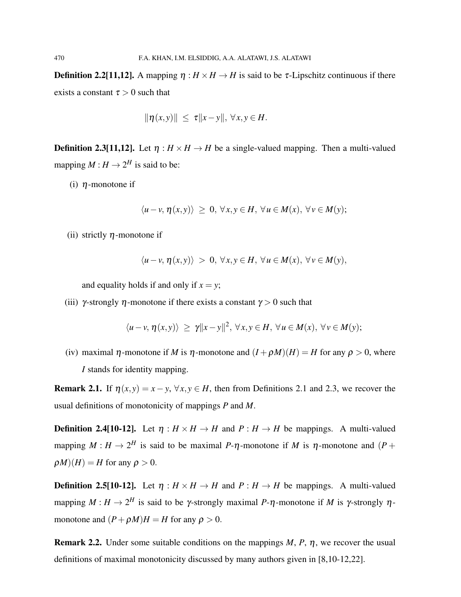**Definition 2.2[11,12].** A mapping  $\eta : H \times H \to H$  is said to be  $\tau$ -Lipschitz continuous if there exists a constant  $\tau > 0$  such that

$$
\|\eta(x,y)\| \leq \tau \|x-y\|, \,\forall x,y \in H.
$$

**Definition 2.3[11,12].** Let  $\eta : H \times H \to H$  be a single-valued mapping. Then a multi-valued mapping  $M: H \to 2^H$  is said to be:

(i)  $\eta$ -monotone if

$$
\langle u-v, \eta(x,y) \rangle \geq 0, \forall x, y \in H, \forall u \in M(x), \forall v \in M(y);
$$

(ii) strictly  $\eta$ -monotone if

$$
\langle u-v, \eta(x,y) \rangle > 0, \forall x, y \in H, \forall u \in M(x), \forall v \in M(y),
$$

and equality holds if and only if  $x = y$ ;

(iii)  $\gamma$ -strongly  $\eta$ -monotone if there exists a constant  $\gamma > 0$  such that

$$
\langle u-v, \eta(x,y) \rangle \ge \gamma ||x-y||^2, \ \forall x,y \in H, \ \forall u \in M(x), \ \forall v \in M(y);
$$

(iv) maximal  $\eta$ -monotone if *M* is  $\eta$ -monotone and  $(I + \rho M)(H) = H$  for any  $\rho > 0$ , where *I* stands for identity mapping.

**Remark 2.1.** If  $\eta(x, y) = x - y$ ,  $\forall x, y \in H$ , then from Definitions 2.1 and 2.3, we recover the usual definitions of monotonicity of mappings *P* and *M*.

**Definition 2.4[10-12].** Let  $\eta : H \times H \to H$  and  $P : H \to H$  be mappings. A multi-valued mapping  $M: H \to 2^H$  is said to be maximal P- $\eta$ -monotone if M is  $\eta$ -monotone and  $(P +$  $\rho M$  $(H) = H$  for any  $\rho > 0$ .

**Definition 2.5[10-12].** Let  $\eta : H \times H \to H$  and  $P : H \to H$  be mappings. A multi-valued mapping  $M: H \to 2^H$  is said to be  $\gamma$ -strongly maximal *P*- $\eta$ -monotone if M is  $\gamma$ -strongly  $\eta$ monotone and  $(P + \rho M)H = H$  for any  $\rho > 0$ .

Remark 2.2. Under some suitable conditions on the mappings *M*, *P*, η, we recover the usual definitions of maximal monotonicity discussed by many authors given in [8,10-12,22].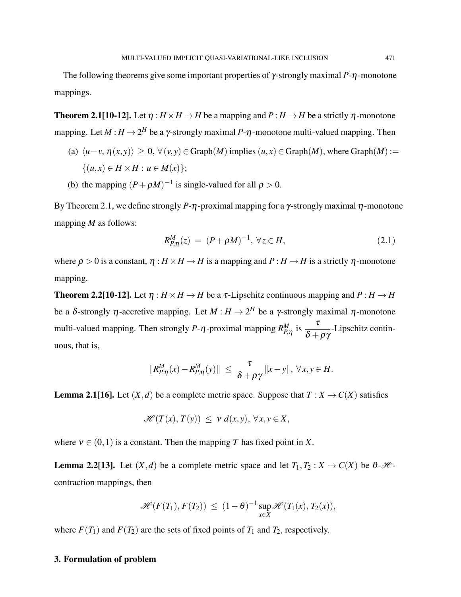The following theorems give some important properties of γ-strongly maximal *P*-η-monotone mappings.

**Theorem 2.1[10-12].** Let  $\eta : H \times H \to H$  be a mapping and  $P : H \to H$  be a strictly  $\eta$ -monotone mapping. Let  $M : H \to 2^H$  be a  $\gamma$ -strongly maximal  $P$ - $\eta$ -monotone multi-valued mapping. Then

- (a)  $\langle u-v, \eta(x, y) \rangle \geq 0$ ,  $\forall (v, y) \in Graph(M)$  implies  $(u, x) \in Graph(M)$ , where  $Graph(M) :=$  $\{(u, x) \in H \times H : u \in M(x)\};\$
- (b) the mapping  $(P + \rho M)^{-1}$  is single-valued for all  $\rho > 0$ .

By Theorem 2.1, we define strongly  $P$ -η-proximal mapping for a γ-strongly maximal η-monotone mapping *M* as follows:

$$
R_{P,\eta}^M(z) = (P + \rho M)^{-1}, \,\forall z \in H,\tag{2.1}
$$

where  $\rho > 0$  is a constant,  $\eta : H \times H \to H$  is a mapping and  $P : H \to H$  is a strictly  $\eta$ -monotone mapping.

**Theorem 2.2[10-12].** Let  $\eta : H \times H \to H$  be a  $\tau$ -Lipschitz continuous mapping and  $P : H \to H$ be a  $\delta$ -strongly  $\eta$ -accretive mapping. Let  $M : H \to 2^H$  be a  $\gamma$ -strongly maximal  $\eta$ -monotone multi-valued mapping. Then strongly *P*- $\eta$ -proximal mapping  $R_{P,\eta}^M$  is  $\frac{\tau}{\delta + 1}$  $\frac{1}{\delta + \rho \gamma}$ -Lipschitz continuous, that is,

$$
||R_{P,\eta}^M(x)-R_{P,\eta}^M(y)|| \leq \frac{\tau}{\delta+\rho\gamma}||x-y||, \,\forall x,y \in H.
$$

**Lemma 2.1[16].** Let  $(X, d)$  be a complete metric space. Suppose that  $T : X \to C(X)$  satisfies

$$
\mathscr{H}(T(x),T(y)) \leq v d(x,y), \forall x,y \in X,
$$

where  $v \in (0,1)$  is a constant. Then the mapping *T* has fixed point in *X*.

**Lemma 2.2[13].** Let  $(X,d)$  be a complete metric space and let  $T_1, T_2 : X \to C(X)$  be  $\theta$ -*H*contraction mappings, then

$$
\mathscr{H}(F(T_1), F(T_2)) \leq (1-\theta)^{-1} \sup_{x \in X} \mathscr{H}(T_1(x), T_2(x)),
$$

where  $F(T_1)$  and  $F(T_2)$  are the sets of fixed points of  $T_1$  and  $T_2$ , respectively.

### 3. Formulation of problem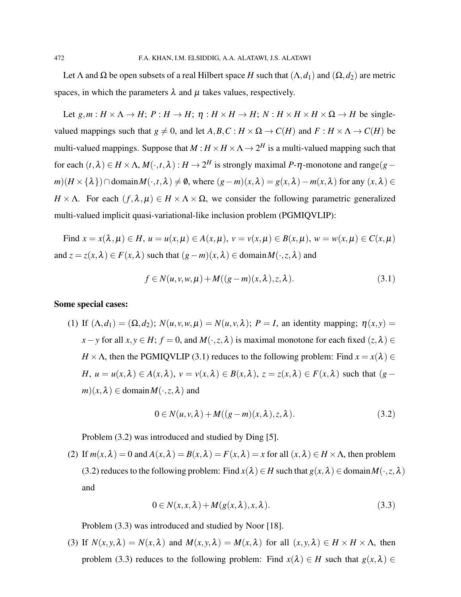Let  $\Lambda$  and  $\Omega$  be open subsets of a real Hilbert space *H* such that  $(\Lambda, d_1)$  and  $(\Omega, d_2)$  are metric spaces, in which the parameters  $\lambda$  and  $\mu$  takes values, respectively.

Let  $g, m : H \times \Lambda \to H$ ;  $P : H \to H$ ;  $\eta : H \times H \to H$ ;  $N : H \times H \times H \times \Omega \to H$  be singlevalued mappings such that  $g \neq 0$ , and let  $A, B, C : H \times \Omega \to C(H)$  and  $F : H \times \Lambda \to C(H)$  be multi-valued mappings. Suppose that  $M$  :  $H \times H \times \Lambda \to 2^H$  is a multi-valued mapping such that for each  $(t, \lambda) \in H \times \Lambda$ ,  $M(\cdot, t, \lambda) : H \to 2^H$  is strongly maximal P- $\eta$ -monotone and range(*g* – *m*)(*H* × { $\lambda$ })∩domain*M*( $\cdot$ ,*t*, $\lambda$ ) ≠ 0, where  $(g - m)(x, \lambda) = g(x, \lambda) - m(x, \lambda)$  for any  $(x, \lambda) \in$ *H* × Λ. For each  $(f, \lambda, \mu) \in H \times \Lambda \times \Omega$ , we consider the following parametric generalized multi-valued implicit quasi-variational-like inclusion problem (PGMIQVLIP):

Find  $x = x(\lambda, \mu) \in H$ ,  $u = u(x, \mu) \in A(x, \mu)$ ,  $v = v(x, \mu) \in B(x, \mu)$ ,  $w = w(x, \mu) \in C(x, \mu)$ and  $z = z(x, \lambda) \in F(x, \lambda)$  such that  $(g - m)(x, \lambda) \in \text{domain } M(\cdot, z, \lambda)$  and

$$
f \in N(u, v, w, \mu) + M((g - m)(x, \lambda), z, \lambda).
$$
 (3.1)

#### Some special cases:

(1) If  $(\Lambda, d_1) = (\Omega, d_2)$ ;  $N(u, v, w, \mu) = N(u, v, \lambda)$ ;  $P = I$ , an identity mapping;  $\eta(x, y) =$ *x*−*y* for all *x*, *y* ∈ *H*; *f* = 0, and *M*(·,*z*,  $\lambda$ ) is maximal monotone for each fixed (*z*,  $\lambda$ ) ∈ *H* ×  $\Lambda$ , then the PGMIQVLIP (3.1) reduces to the following problem: Find  $x = x(\lambda) \in$ *H*,  $u = u(x, \lambda) \in A(x, \lambda)$ ,  $v = v(x, \lambda) \in B(x, \lambda)$ ,  $z = z(x, \lambda) \in F(x, \lambda)$  such that  $(g - \lambda)$  $m(x, \lambda) \in \text{domain } M(\cdot, z, \lambda)$  and

$$
0 \in N(u, v, \lambda) + M((g - m)(x, \lambda), z, \lambda).
$$
 (3.2)

Problem (3.2) was introduced and studied by Ding [5].

(2) If  $m(x, \lambda) = 0$  and  $A(x, \lambda) = B(x, \lambda) = F(x, \lambda) = x$  for all  $(x, \lambda) \in H \times \Lambda$ , then problem (3.2) reduces to the following problem: Find  $x(\lambda) \in H$  such that  $g(x, \lambda) \in \text{domain } M(\cdot, z, \lambda)$ and

$$
0 \in N(x, x, \lambda) + M(g(x, \lambda), x, \lambda).
$$
\n(3.3)

Problem (3.3) was introduced and studied by Noor [18].

(3) If  $N(x, y, \lambda) = N(x, \lambda)$  and  $M(x, y, \lambda) = M(x, \lambda)$  for all  $(x, y, \lambda) \in H \times H \times \Lambda$ , then problem (3.3) reduces to the following problem: Find  $x(\lambda) \in H$  such that  $g(x, \lambda) \in$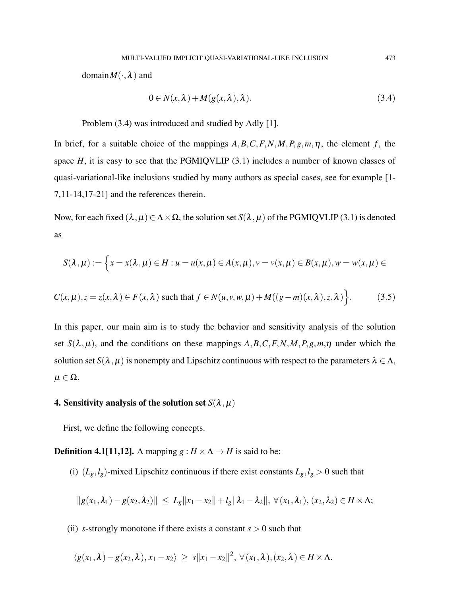$\text{domain}M(\cdot,\lambda)$  and

$$
0 \in N(x, \lambda) + M(g(x, \lambda), \lambda). \tag{3.4}
$$

Problem (3.4) was introduced and studied by Adly [1].

In brief, for a suitable choice of the mappings  $A, B, C, F, N, M, P, g, m, \eta$ , the element *f*, the space  $H$ , it is easy to see that the PGMIQVLIP  $(3.1)$  includes a number of known classes of quasi-variational-like inclusions studied by many authors as special cases, see for example [1- 7,11-14,17-21] and the references therein.

Now, for each fixed  $(\lambda, \mu) \in \Lambda \times \Omega$ , the solution set  $S(\lambda, \mu)$  of the PGMIQVLIP (3.1) is denoted as

$$
S(\lambda,\mu):=\Big\{x=x(\lambda,\mu)\in H: u=u(x,\mu)\in A(x,\mu), v=v(x,\mu)\in B(x,\mu), w=w(x,\mu)\in
$$

$$
C(x,\mu), z = z(x,\lambda) \in F(x,\lambda) \text{ such that } f \in N(u,v,w,\mu) + M((g-m)(x,\lambda),z,\lambda) \Big\}.
$$
 (3.5)

In this paper, our main aim is to study the behavior and sensitivity analysis of the solution set  $S(\lambda, \mu)$ , and the conditions on these mappings  $A, B, C, F, N, M, P, g, m, \eta$  under which the solution set  $S(\lambda, \mu)$  is nonempty and Lipschitz continuous with respect to the parameters  $\lambda \in \Lambda$ ,  $\mu \in \Omega$ .

# 4. Sensitivity analysis of the solution set  $S(\lambda, \mu)$

First, we define the following concepts.

**Definition 4.1[11,12].** A mapping  $g : H \times \Lambda \rightarrow H$  is said to be:

(i)  $(L_g, l_g)$ -mixed Lipschitz continuous if there exist constants  $L_g, l_g > 0$  such that

$$
||g(x_1,\lambda_1)-g(x_2,\lambda_2)|| \leq L_g||x_1-x_2||+l_g||\lambda_1-\lambda_2||, \forall (x_1,\lambda_1), (x_2,\lambda_2) \in H \times \Lambda;
$$

(ii) *s*-strongly monotone if there exists a constant  $s > 0$  such that

$$
\langle g(x_1,\lambda)-g(x_2,\lambda), x_1-x_2\rangle \geq s||x_1-x_2||^2, \ \forall (x_1,\lambda), (x_2,\lambda) \in H \times \Lambda.
$$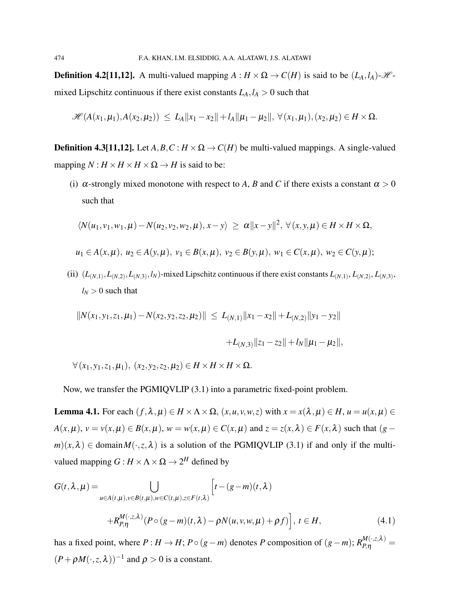**Definition 4.2[11,12].** A multi-valued mapping  $A : H \times \Omega \to C(H)$  is said to be  $(L_A, l_A) \cdot \mathcal{H}$ mixed Lipschitz continuous if there exist constants  $L_A, l_A > 0$  such that

$$
\mathscr{H}(A(x_1,\mu_1),A(x_2,\mu_2)) \leq L_A ||x_1-x_2|| + l_A ||\mu_1 - \mu_2||, \ \forall (x_1,\mu_1), (x_2,\mu_2) \in H \times \Omega.
$$

**Definition 4.3[11,12].** Let  $A, B, C : H \times \Omega \rightarrow C(H)$  be multi-valued mappings. A single-valued mapping  $N: H \times H \times H \times \Omega \rightarrow H$  is said to be:

(i)  $\alpha$ -strongly mixed monotone with respect to *A*, *B* and *C* if there exists a constant  $\alpha > 0$ such that

$$
\langle N(u_1,v_1,w_1,\mu)-N(u_2,v_2,w_2,\mu),x-y\rangle \geq \alpha ||x-y||^2, \ \forall (x,y,\mu)\in H\times H\times \Omega,
$$

$$
u_1 \in A(x, \mu), u_2 \in A(y, \mu), v_1 \in B(x, \mu), v_2 \in B(y, \mu), w_1 \in C(x, \mu), w_2 \in C(y, \mu);
$$

(ii)  $(L_{(N,1)}, L_{(N,2)}, L_{(N,3)}, l_N)$ -mixed Lipschitz continuous if there exist constants  $L_{(N,1)}, L_{(N,2)}, L_{(N,3)}$ ,  $l_N$  > 0 such that

$$
||N(x_1, y_1, z_1, \mu_1) - N(x_2, y_2, z_2, \mu_2)|| \le L_{(N,1)} ||x_1 - x_2|| + L_{(N,2)} ||y_1 - y_2||
$$
  
+L\_{(N,3)} ||z\_1 - z\_2|| + l\_N ||\mu\_1 - \mu\_2||,

 $\forall$  (*x*<sub>1</sub>, *y*<sub>1</sub>, *z*<sub>1</sub>,  $\mu$ <sub>1</sub>), (*x*<sub>2</sub>, *y*<sub>2</sub>, *z*<sub>2</sub>,  $\mu$ <sub>2</sub>)  $\in$  *H*  $\times$  *H*  $\times$  *H*  $\times$  Ω.

Now, we transfer the PGMIQVLIP (3.1) into a parametric fixed-point problem.

**Lemma 4.1.** For each  $(f, \lambda, \mu) \in H \times \Lambda \times \Omega$ ,  $(x, u, v, w, z)$  with  $x = x(\lambda, \mu) \in H$ ,  $u = u(x, \mu) \in$  $A(x, \mu), v = v(x, \mu) \in B(x, \mu), w = w(x, \mu) \in C(x, \mu)$  and  $z = z(x, \lambda) \in F(x, \lambda)$  such that  $(g - \lambda)$  $m(x, \lambda) \in \text{domain } M(\cdot, z, \lambda)$  is a solution of the PGMIQVLIP (3.1) if and only if the multivalued mapping  $G: H \times \Lambda \times \Omega \to 2^H$  defined by

$$
G(t,\lambda,\mu) = \bigcup_{u \in A(t,\mu), v \in B(t,\mu), w \in C(t,\mu), z \in F(t,\lambda)} \left[ t - (g-m)(t,\lambda) + R_{P,\eta}^{M(\cdot,z,\lambda)} (P \circ (g-m)(t,\lambda) - \rho N(u,v,w,\mu) + \rho f) \right], \ t \in H,
$$
\n(4.1)

has a fixed point, where  $P: H \to H$ ;  $P \circ (g - m)$  denotes  $P$  composition of  $(g - m)$ ;  $R_{P,\eta}^{M(\cdot,z,\lambda)} =$  $(P + \rho M(\cdot, z, \lambda))^{-1}$  and  $\rho > 0$  is a constant.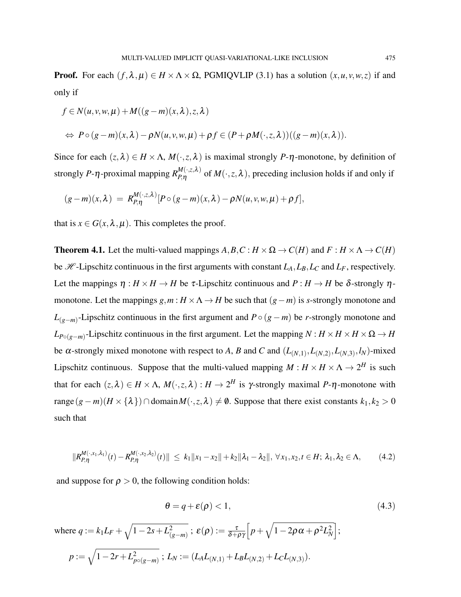**Proof.** For each  $(f, \lambda, \mu) \in H \times \Lambda \times \Omega$ , PGMIQVLIP (3.1) has a solution  $(x, u, v, w, z)$  if and only if

$$
f \in N(u, v, w, \mu) + M((g - m)(x, \lambda), z, \lambda)
$$
  
\n
$$
\Leftrightarrow P \circ (g - m)(x, \lambda) - \rho N(u, v, w, \mu) + \rho f \in (P + \rho M(\cdot, z, \lambda))((g - m)(x, \lambda)).
$$

Since for each  $(z, \lambda) \in H \times \Lambda$ ,  $M(\cdot, z, \lambda)$  is maximal strongly *P*- $\eta$ -monotone, by definition of strongly *P*- $\eta$ -proximal mapping  $R_{P,\eta}^{M(\cdot,z,\lambda)}$  $P_{P,\eta}^{M(\cdot,\zeta,\lambda)}$  of  $M(\cdot,z,\lambda)$ , preceding inclusion holds if and only if

$$
(g-m)(x,\lambda) = R_{P,\eta}^{M(\cdot,z,\lambda)}[P\circ (g-m)(x,\lambda)-\rho N(u,v,w,\mu)+\rho f],
$$

that is  $x \in G(x, \lambda, \mu)$ . This completes the proof.

**Theorem 4.1.** Let the multi-valued mappings  $A, B, C : H \times \Omega \to C(H)$  and  $F : H \times \Lambda \to C(H)$ be  $H$ -Lipschitz continuous in the first arguments with constant  $L_A, L_B, L_C$  and  $L_F$ , respectively. Let the mappings  $\eta : H \times H \to H$  be  $\tau$ -Lipschitz continuous and  $P : H \to H$  be  $\delta$ -strongly  $\eta$ monotone. Let the mappings  $g, m : H \times \Lambda \to H$  be such that  $(g - m)$  is *s*-strongly monotone and *L*(*g*−*m*) -Lipschitz continuous in the first argument and *P*◦ (*g*−*m*) be *r*-strongly monotone and  $L_{P \circ (g-m)}$ -Lipschitz continuous in the first argument. Let the mapping  $N : H \times H \times H \times \Omega \to H$ be  $\alpha$ -strongly mixed monotone with respect to *A*, *B* and *C* and  $(L_{(N,1)}, L_{(N,2)}, L_{(N,3)}, l_N)$ -mixed Lipschitz continuous. Suppose that the multi-valued mapping  $M: H \times H \times \Lambda \to 2^H$  is such that for each  $(z, \lambda) \in H \times \Lambda$ ,  $M(\cdot, z, \lambda) : H \to 2^H$  is  $\gamma$ -strongly maximal *P*- $\eta$ -monotone with  $range(g - m)(H × {\lambda}) ∩ domain M(·, z, \lambda) ≠ ∅$ . Suppose that there exist constants  $k_1, k_2 > 0$ such that

$$
||R_{P,\eta}^{M(\cdot,x_1,\lambda_1)}(t)-R_{P,\eta}^{M(\cdot,x_2,\lambda_2)}(t)|| \leq k_1||x_1-x_2||+k_2||\lambda_1-\lambda_2||, \,\forall x_1,x_2,t \in H; \,\lambda_1,\lambda_2 \in \Lambda,
$$
 (4.2)

and suppose for  $\rho > 0$ , the following condition holds:

$$
\theta = q + \varepsilon(\rho) < 1,\tag{4.3}
$$

where  $q := k_1 L_F + \sqrt{1 - 2s + L_C^2}$  $\overline{\mathcal{E}^2_{(g-m)}} \; ; \; \pmb{\varepsilon}(\pmb{\rho}) := \frac{\tau}{\delta + \rho\gamma} \Big[ p + \sqrt{1 - 2 \pmb{\rho} \, \alpha + \pmb{\rho}^2 L_N^2} \Big] ;$  $p := \sqrt{1 - 2r + L_n^2}$  $L^2_{p\circ (g-m)}$  ;  $L_N:=(L_A L_{(N,1)} + L_B L_{(N,2)} + L_C L_{(N,3)} ).$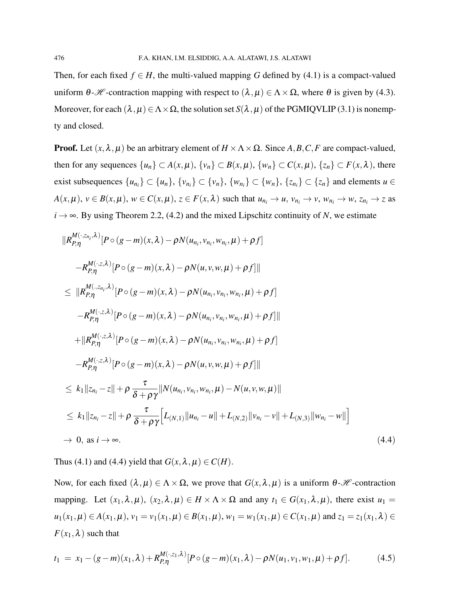Then, for each fixed  $f \in H$ , the multi-valued mapping G defined by (4.1) is a compact-valued uniform  $\theta$ -*H* -contraction mapping with respect to  $(\lambda, \mu) \in \Lambda \times \Omega$ , where  $\theta$  is given by (4.3). Moreover, for each  $(\lambda, \mu) \in \Lambda \times \Omega$ , the solution set  $S(\lambda, \mu)$  of the PGMIQVLIP (3.1) is nonempty and closed.

**Proof.** Let  $(x, \lambda, \mu)$  be an arbitrary element of  $H \times \Lambda \times \Omega$ . Since A, B, C, F are compact-valued, then for any sequences  $\{u_n\} \subset A(x,\mu), \{v_n\} \subset B(x,\mu), \{w_n\} \subset C(x,\mu), \{z_n\} \subset F(x,\lambda)$ , there exist subsequences  $\{u_{n_i}\}\subset \{u_n\}$ ,  $\{v_{n_i}\}\subset \{v_n\}$ ,  $\{w_{n_i}\}\subset \{w_n\}$ ,  $\{z_{n_i}\}\subset \{z_n\}$  and elements  $u\in$  $A(x,\mu), v \in B(x,\mu), w \in C(x,\mu), z \in F(x,\lambda)$  such that  $u_{n_i} \to u$ ,  $v_{n_i} \to v$ ,  $w_{n_i} \to w$ ,  $z_{n_i} \to z$  as  $i \rightarrow \infty$ . By using Theorem 2.2, (4.2) and the mixed Lipschitz continuity of *N*, we estimate

$$
||R_{P,\eta}^{M(\cdot,z_{n_i},\lambda)}[P\circ(g-m)(x,\lambda)-\rho N(u_{n_i},v_{n_i},w_{n_i},\mu)+\rho f] -R_{P,\eta}^{M(\cdot,z,\lambda)}[P\circ(g-m)(x,\lambda)-\rho N(u,v,w,\mu)+\rho f]|| \leq ||R_{P,\eta}^{M(\cdot,z,n,\lambda)}[P\circ(g-m)(x,\lambda)-\rho N(u_{n_i},v_{n_i},w_{n_i},\mu)+\rho f] -R_{P,\eta}^{M(\cdot,z,\lambda)}[P\circ(g-m)(x,\lambda)-\rho N(u_{n_i},v_{n_i},w_{n_i},\mu)+\rho f]|| +||R_{P,\eta}^{M(\cdot,z,\lambda)}[P\circ(g-m)(x,\lambda)-\rho N(u_{n_i},v_{n_i},w_{n_i},\mu)+\rho f] -R_{P,\eta}^{M(\cdot,z,\lambda)}[P\circ(g-m)(x,\lambda)-\rho N(u,v,w,\mu)+\rho f]|| \leq k_1||z_{n_i}-z||+\rho \frac{\tau}{\delta+\rho\gamma}||N(u_{n_i},v_{n_i},w_{n_i},\mu)-N(u,v,w,\mu)|| \leq k_1||z_{n_i}-z||+\rho \frac{\tau}{\delta+\rho\gamma}[L_{(N,1)}||u_{n_i}-u||+L_{(N,2)}||v_{n_i}-v||+L_{(N,3)}||w_{n_i}-w||] \rightarrow 0, \text{ as } i\rightarrow\infty.
$$
 (4.4)

Thus (4.1) and (4.4) yield that  $G(x, \lambda, \mu) \in C(H)$ .

Now, for each fixed  $(\lambda, \mu) \in \Lambda \times \Omega$ , we prove that  $G(x, \lambda, \mu)$  is a uniform  $\theta$ -*H* -contraction mapping. Let  $(x_1, \lambda, \mu)$ ,  $(x_2, \lambda, \mu) \in H \times \Lambda \times \Omega$  and any  $t_1 \in G(x_1, \lambda, \mu)$ , there exist  $u_1 =$ *u*<sub>1</sub>(*x*<sub>1</sub>,  $\mu$ ) ∈ *A*(*x*<sub>1</sub>,  $\mu$ ), *v*<sub>1</sub> = *v*<sub>1</sub>(*x*<sub>1</sub>,  $\mu$ ), *v*<sub>1</sub> = *w*<sub>1</sub>(*x*<sub>1</sub>,  $\mu$ ) ∈ *C*(*x*<sub>1</sub>,  $\mu$ ) and *z*<sub>1</sub> = *z*<sub>1</sub>(*x*<sub>1</sub>,  $\lambda$ ) ∈  $F(x_1, \lambda)$  such that

$$
t_1 = x_1 - (g - m)(x_1, \lambda) + R_{P, \eta}^{M(\cdot, z_1, \lambda)} [P \circ (g - m)(x_1, \lambda) - \rho N(u_1, v_1, w_1, \mu) + \rho f]. \tag{4.5}
$$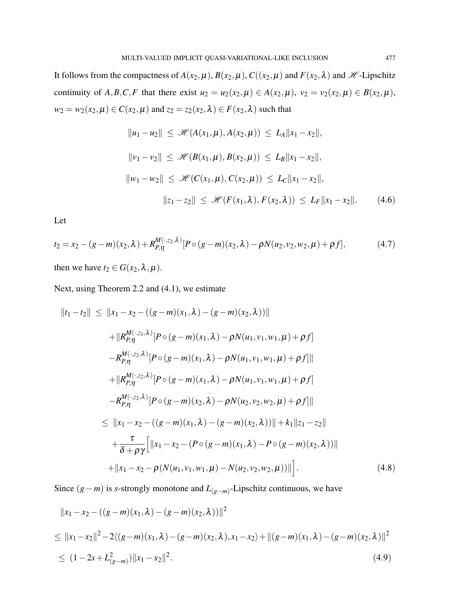It follows from the compactness of  $A(x_2,\mu)$ ,  $B(x_2,\mu)$ ,  $C((x_2,\mu)$  and  $F(x_2,\lambda)$  and  $H$ -Lipschitz continuity of *A*,*B*,*C*,*F* that there exist  $u_2 = u_2(x_2, \mu) \in A(x_2, \mu)$ ,  $v_2 = v_2(x_2, \mu) \in B(x_2, \mu)$ , *w*<sub>2</sub> = *w*<sub>2</sub>(*x*<sub>2</sub>,  $\mu$ ) ∈ *C*(*x*<sub>2</sub>,  $\mu$ ) and *z*<sub>2</sub> = *z*<sub>2</sub>(*x*<sub>2</sub>,  $\lambda$ ) ∈ *F*(*x*<sub>2</sub>,  $\lambda$ ) such that

$$
||u_1 - u_2|| \leq \mathcal{H}(A(x_1, \mu), A(x_2, \mu)) \leq L_A ||x_1 - x_2||,
$$
  
\n
$$
||v_1 - v_2|| \leq \mathcal{H}(B(x_1, \mu), B(x_2, \mu)) \leq L_B ||x_1 - x_2||,
$$
  
\n
$$
||w_1 - w_2|| \leq \mathcal{H}(C(x_1, \mu), C(x_2, \mu)) \leq L_C ||x_1 - x_2||,
$$
  
\n
$$
||z_1 - z_2|| \leq \mathcal{H}(F(x_1, \lambda), F(x_2, \lambda)) \leq L_F ||x_1 - x_2||.
$$
 (4.6)

Let

$$
t_2 = x_2 - (g - m)(x_2, \lambda) + R_{P, \eta}^{M(\cdot, z_2, \lambda)} [P \circ (g - m)(x_2, \lambda) - \rho N(u_2, v_2, w_2, \mu) + \rho f], \tag{4.7}
$$

then we have  $t_2 \in G(x_2, \lambda, \mu)$ .

Next, using Theorem 2.2 and (4.1), we estimate

$$
||t_1 - t_2|| \le ||x_1 - x_2 - ((g - m)(x_1, \lambda) - (g - m)(x_2, \lambda))||
$$
  
+  $||R_{P,\eta}^{M(\cdot, z_1, \lambda)}[P \circ (g - m)(x_1, \lambda) - \rho N(u_1, v_1, w_1, \mu) + \rho f]$   
-  $R_{P,\eta}^{M(\cdot, z_2, \lambda)}[P \circ (g - m)(x_1, \lambda) - \rho N(u_1, v_1, w_1, \mu) + \rho f]]$   
+  $||R_{P,\eta}^{M(\cdot, z_2, \lambda)}[P \circ (g - m)(x_1, \lambda) - \rho N(u_1, v_1, w_1, \mu) + \rho f]$   
-  $R_{P,\eta}^{M(\cdot, z_2, \lambda)}[P \circ (g - m)(x_2, \lambda) - \rho N(u_2, v_2, w_2, \mu) + \rho f]]|$   
 $\le ||x_1 - x_2 - ((g - m)(x_1, \lambda) - (g - m)(x_2, \lambda))|| + k_1 ||z_1 - z_2||$   
+  $\frac{\tau}{\delta + \rho \gamma}[[x_1 - x_2 - (P \circ (g - m)(x_1, \lambda) - P \circ (g - m)(x_2, \lambda))]]$   
+  $||x_1 - x_2 - \rho (N(u_1, v_1, w_1, \mu) - N(u_2, v_2, w_2, \mu))||].$  (4.8)

Since (*g*−*m*) is *s*-strongly monotone and *L*(*g*−*m*) -Lipschitz continuous, we have

$$
||x_1 - x_2 - ((g - m)(x_1, \lambda) - (g - m)(x_2, \lambda))||^2
$$
  
\n
$$
\le ||x_1 - x_2||^2 - 2\langle (g - m)(x_1, \lambda) - (g - m)(x_2, \lambda), x_1 - x_2 \rangle + ||(g - m)(x_1, \lambda) - (g - m)(x_2, \lambda)||^2
$$
  
\n
$$
\le (1 - 2s + L_{(g - m)}^2) ||x_1 - x_2||^2.
$$
\n(4.9)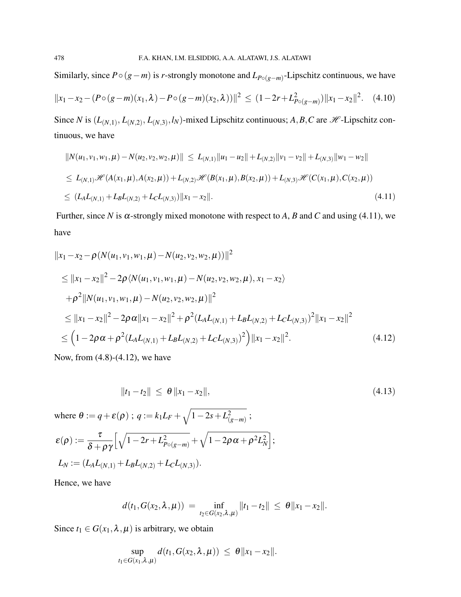Similarly, since  $P \circ (g - m)$  is *r*-strongly monotone and  $L_{P \circ (g - m)}$ -Lipschitz continuous, we have

$$
||x_1 - x_2 - (P \circ (g - m)(x_1, \lambda) - P \circ (g - m)(x_2, \lambda))||^2 \le (1 - 2r + L_{P \circ (g - m)}^2) ||x_1 - x_2||^2. \tag{4.10}
$$

Since *N* is  $(L_{(N,1)}, L_{(N,2)}, L_{(N,3)}, l_N)$ -mixed Lipschitz continuous; *A*, *B*, *C* are *H* -Lipschitz continuous, we have

$$
||N(u_1, v_1, w_1, \mu) - N(u_2, v_2, w_2, \mu)|| \le L_{(N,1)} ||u_1 - u_2|| + L_{(N,2)} ||v_1 - v_2|| + L_{(N,3)} ||w_1 - w_2||
$$
  
\n
$$
\le L_{(N,1)} \mathcal{H}(A(x_1, \mu), A(x_2, \mu)) + L_{(N,2)} \mathcal{H}(B(x_1, \mu), B(x_2, \mu)) + L_{(N,3)} \mathcal{H}(C(x_1, \mu), C(x_2, \mu))
$$
  
\n
$$
\le (L_A L_{(N,1)} + L_B L_{(N,2)} + L_C L_{(N,3)}) ||x_1 - x_2||.
$$
\n(4.11)

Further, since *N* is  $\alpha$ -strongly mixed monotone with respect to *A*, *B* and *C* and using (4.11), we have

$$
||x_1 - x_2 - \rho(N(u_1, v_1, w_1, \mu) - N(u_2, v_2, w_2, \mu))||^2
$$
  
\n
$$
\leq ||x_1 - x_2||^2 - 2\rho \langle N(u_1, v_1, w_1, \mu) - N(u_2, v_2, w_2, \mu), x_1 - x_2 \rangle
$$
  
\n
$$
+ \rho^2 ||N(u_1, v_1, w_1, \mu) - N(u_2, v_2, w_2, \mu)||^2
$$
  
\n
$$
\leq ||x_1 - x_2||^2 - 2\rho \alpha ||x_1 - x_2||^2 + \rho^2 (L_A L_{(N,1)} + L_B L_{(N,2)} + L_C L_{(N,3)})^2 ||x_1 - x_2||^2
$$
  
\n
$$
\leq (1 - 2\rho \alpha + \rho^2 (L_A L_{(N,1)} + L_B L_{(N,2)} + L_C L_{(N,3)})^2) ||x_1 - x_2||^2.
$$
 (4.12)

Now, from (4.8)-(4.12), we have

$$
||t_1 - t_2|| \leq \theta ||x_1 - x_2||, \tag{4.13}
$$

where  $\theta := q + \varepsilon(\rho)$ ;  $q := k_1 L_F + \sqrt{1 - 2s + L_E^2}$ (*g*−*m*) ;  $\varepsilon(\rho):=\frac{\tau}{s+1}$  $\delta+\rho\gamma$  $\left[\sqrt{1-2r+L_{P\circ (g-m)}^2} + \sqrt{1-2\rho\alpha+\rho^2L_N^2}\right];$  $L_N := (L_A L_{(N,1)} + L_B L_{(N,2)} + L_C L_{(N,3)}).$ 

Hence, we have

$$
d(t_1, G(x_2, \lambda, \mu)) = \inf_{t_2 \in G(x_2, \lambda, \mu)} ||t_1 - t_2|| \leq \theta ||x_1 - x_2||.
$$

Since  $t_1 \in G(x_1, \lambda, \mu)$  is arbitrary, we obtain

$$
\sup_{t_1 \in G(x_1, \lambda, \mu)} d(t_1, G(x_2, \lambda, \mu)) \leq \theta ||x_1 - x_2||.
$$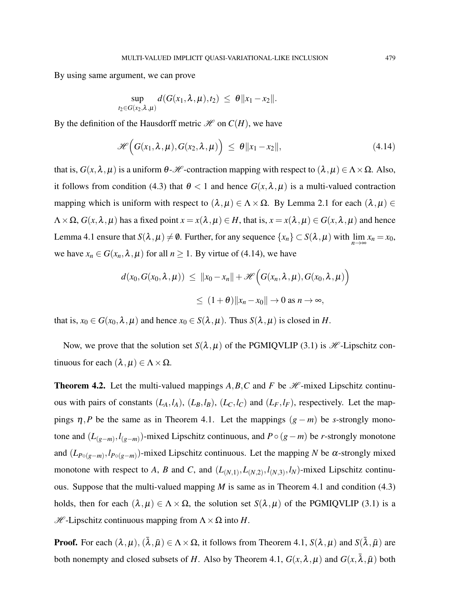By using same argument, we can prove

$$
\sup_{t_2 \in G(x_2,\lambda,\mu)} d(G(x_1,\lambda,\mu),t_2) \ \leq \ \theta \|x_1 - x_2\|.
$$

By the definition of the Hausdorff metric  $\mathcal{H}$  on  $C(H)$ , we have

$$
\mathscr{H}\Big(G(x_1,\lambda,\mu),G(x_2,\lambda,\mu)\Big)\leq \theta \|x_1-x_2\|,\tag{4.14}
$$

that is,  $G(x, \lambda, \mu)$  is a uniform  $\theta$ -*H* -contraction mapping with respect to  $(\lambda, \mu) \in \Lambda \times \Omega$ . Also, it follows from condition (4.3) that  $\theta < 1$  and hence  $G(x, \lambda, \mu)$  is a multi-valued contraction mapping which is uniform with respect to  $(\lambda, \mu) \in \Lambda \times \Omega$ . By Lemma 2.1 for each  $(\lambda, \mu) \in$  $\Lambda \times \Omega$ ,  $G(x, \lambda, \mu)$  has a fixed point  $x = x(\lambda, \mu) \in H$ , that is,  $x = x(\lambda, \mu) \in G(x, \lambda, \mu)$  and hence Lemma 4.1 ensure that  $S(\lambda, \mu) \neq \emptyset$ . Further, for any sequence  $\{x_n\} \subset S(\lambda, \mu)$  with  $\lim_{n \to \infty} x_n = x_0$ , we have  $x_n \in G(x_n, \lambda, \mu)$  for all  $n \ge 1$ . By virtue of (4.14), we have

$$
d(x_0, G(x_0, \lambda, \mu)) \le ||x_0 - x_n|| + \mathcal{H}\Big(G(x_n, \lambda, \mu), G(x_0, \lambda, \mu)\Big)
$$
  

$$
\le (1 + \theta) ||x_n - x_0|| \to 0 \text{ as } n \to \infty,
$$

that is,  $x_0 \in G(x_0, \lambda, \mu)$  and hence  $x_0 \in S(\lambda, \mu)$ . Thus  $S(\lambda, \mu)$  is closed in *H*.

Now, we prove that the solution set  $S(\lambda, \mu)$  of the PGMIQVLIP (3.1) is *H* -Lipschitz continuous for each  $(λ, μ) ∈ Λ × Ω$ .

**Theorem 4.2.** Let the multi-valued mappings  $A, B, C$  and  $F$  be  $\mathcal{H}$ -mixed Lipschitz continuous with pairs of constants  $(L_A, l_A)$ ,  $(L_B, l_B)$ ,  $(L_C, l_C)$  and  $(L_F, l_F)$ , respectively. Let the mappings *η*,*P* be the same as in Theorem 4.1. Let the mappings  $(g − m)$  be *s*-strongly monotone and (*L*(*g*−*m*) ,*l* (*g*−*m*) )-mixed Lipschitz continuous, and *P*◦ (*g*−*m*) be *r*-strongly monotone and  $(L_{P \circ (g-m)}, l_{P \circ (g-m)})$ -mixed Lipschitz continuous. Let the mapping *N* be  $\alpha$ -strongly mixed monotone with respect to *A*, *B* and *C*, and  $(L_{(N,1)}, L_{(N,2)}, l_{(N,3)}, l_N)$ -mixed Lipschitz continuous. Suppose that the multi-valued mapping *M* is same as in Theorem 4.1 and condition (4.3) holds, then for each  $(\lambda, \mu) \in \Lambda \times \Omega$ , the solution set  $S(\lambda, \mu)$  of the PGMIQVLIP (3.1) is a  $\mathcal{H}$ -Lipschitz continuous mapping from  $\Lambda \times \Omega$  into *H*.

**Proof.** For each  $(\lambda, \mu), (\bar{\lambda}, \bar{\mu}) \in \Lambda \times \Omega$ , it follows from Theorem 4.1,  $S(\lambda, \mu)$  and  $S(\bar{\lambda}, \bar{\mu})$  are both nonempty and closed subsets of *H*. Also by Theorem 4.1,  $G(x, \lambda, \mu)$  and  $G(x, \bar{\lambda}, \bar{\mu})$  both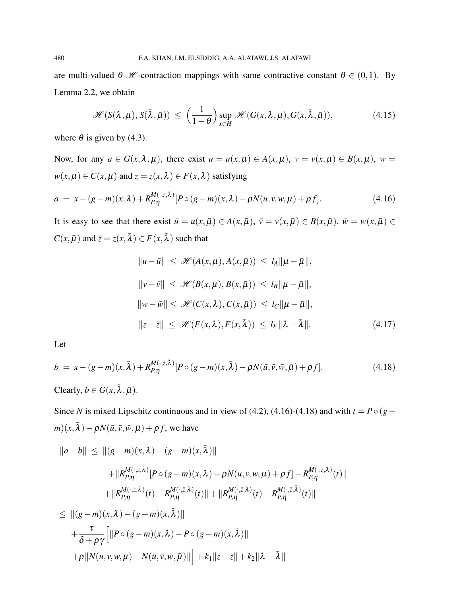are multi-valued  $\theta$ -*H* -contraction mappings with same contractive constant  $\theta \in (0,1)$ . By Lemma 2.2, we obtain

$$
\mathscr{H}(S(\lambda,\mu),S(\bar{\lambda},\bar{\mu})) \leq \left(\frac{1}{1-\theta}\right) \sup_{x \in H} \mathscr{H}(G(x,\lambda,\mu),G(x,\bar{\lambda},\bar{\mu})), \tag{4.15}
$$

where  $\theta$  is given by (4.3).

Now, for any  $a \in G(x, \lambda, \mu)$ , there exist  $u = u(x, \mu) \in A(x, \mu)$ ,  $v = v(x, \mu) \in B(x, \mu)$ ,  $w = v(x, \mu)$  $w(x, \mu) \in C(x, \mu)$  and  $z = z(x, \lambda) \in F(x, \lambda)$  satisfying

$$
a = x - (g - m)(x, \lambda) + R_{P, \eta}^{M(\cdot, z, \lambda)} [P \circ (g - m)(x, \lambda) - \rho N(u, v, w, \mu) + \rho f]. \tag{4.16}
$$

It is easy to see that there exist  $\bar{u} = u(x, \bar{\mu}) \in A(x, \bar{\mu}), \ \bar{v} = v(x, \bar{\mu}) \in B(x, \bar{\mu}), \ \bar{w} = w(x, \bar{\mu}) \in B(x, \bar{\mu})$  $C(x, \bar{\mu})$  and  $\bar{z} = z(x, \bar{\lambda}) \in F(x, \bar{\lambda})$  such that

$$
||u - \bar{u}|| \leq \mathcal{H}(A(x, \mu), A(x, \bar{\mu})) \leq l_A ||\mu - \bar{\mu}||,
$$
  
\n
$$
||v - \bar{v}|| \leq \mathcal{H}(B(x, \mu), B(x, \bar{\mu})) \leq l_B ||\mu - \bar{\mu}||,
$$
  
\n
$$
||w - \bar{w}|| \leq \mathcal{H}(C(x, \lambda), C(x, \bar{\mu})) \leq l_C ||\mu - \bar{\mu}||,
$$
  
\n
$$
||z - \bar{z}|| \leq \mathcal{H}(F(x, \lambda), F(x, \bar{\lambda})) \leq l_F ||\lambda - \bar{\lambda}||.
$$
 (4.17)

Let

$$
b = x - (g - m)(x, \bar{\lambda}) + R_{P,\eta}^{M(\cdot, \bar{z}, \bar{\lambda})} [P \circ (g - m)(x, \bar{\lambda}) - \rho N(\bar{u}, \bar{v}, \bar{w}, \bar{\mu}) + \rho f]. \tag{4.18}
$$

Clearly,  $b \in G(x, \bar{\lambda}, \bar{\mu})$ .

Since *N* is mixed Lipschitz continuous and in view of (4.2), (4.16)-(4.18) and with  $t = P \circ (g$  $m)(x, \bar{\lambda}) - \rho N(\bar{u}, \bar{v}, \bar{w}, \bar{\mu}) + \rho f$ , we have

$$
||a-b|| \leq ||(g-m)(x,\lambda) - (g-m)(x,\bar{\lambda})||
$$
  
+ 
$$
||R_{P,\eta}^{M(\cdot,z,\lambda)}[P \circ (g-m)(x,\lambda) - \rho N(u,v,w,\mu) + \rho f] - R_{P,\eta}^{M(\cdot,z,\lambda)}(t)||
$$
  
+ 
$$
||R_{P,\eta}^{M(\cdot,z,\lambda)}(t) - R_{P,\eta}^{M(\cdot,\bar{z},\lambda)}(t)|| + ||R_{P,\eta}^{M(\cdot,\bar{z},\lambda)}(t) - R_{P,\eta}^{M(\cdot,\bar{z},\bar{\lambda})}(t)||
$$
  

$$
\leq ||(g-m)(x,\lambda) - (g-m)(x,\bar{\lambda})||
$$
  
+ 
$$
\frac{\tau}{\delta + \rho\gamma} [||P \circ (g-m)(x,\lambda) - P \circ (g-m)(x,\bar{\lambda})||
$$
  
+ 
$$
\rho ||N(u,v,w,\mu) - N(\bar{u},\bar{v},\bar{w},\bar{\mu})|| + k_1 ||z-\bar{z}|| + k_2 ||\lambda - \bar{\lambda}||
$$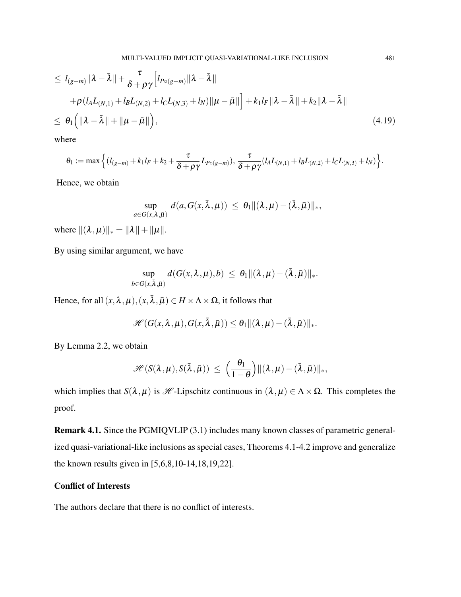$$
\leq l_{(g-m)} \|\lambda - \bar{\lambda}\| + \frac{\tau}{\delta + \rho \gamma} \Big[ l_{P \circ (g-m)} \|\lambda - \bar{\lambda}\|
$$
  
+  $\rho (l_A L_{(N,1)} + l_B L_{(N,2)} + l_C L_{(N,3)} + l_N) \|\mu - \bar{\mu}\| \Big] + k_1 l_F \|\lambda - \bar{\lambda}\| + k_2 \|\lambda - \bar{\lambda}\|$   

$$
\leq \theta_1 \Big( \|\lambda - \bar{\lambda}\| + \|\mu - \bar{\mu}\| \Big), \tag{4.19}
$$

where

$$
\theta_1 := \max \Big\{ (l_{(g-m)} + k_1 l_F + k_2 + \frac{\tau}{\delta + \rho \gamma} L_{P \circ (g-m)}), \frac{\tau}{\delta + \rho \gamma} (l_A L_{(N,1)} + l_B L_{(N,2)} + l_C L_{(N,3)} + l_N) \Big\}.
$$

Hence, we obtain

$$
\sup_{a\in G(x,\lambda,\bar\mu)} d(a,G(x,\bar\lambda,\mu))\,\leq\, \theta_1 \|(\lambda,\mu)-(\bar\lambda,\bar\mu)\|_*,
$$

where  $\|(\lambda,\mu)\|_* = \|\lambda\| + \|\mu\|.$ 

By using similar argument, we have

$$
\sup_{b\in G(x,\bar{\lambda},\bar{\mu})}d(G(x,\lambda,\mu),b)\,\leq\, \theta_1\|(\lambda,\mu)-(\bar{\lambda},\bar{\mu})\|_*.
$$

Hence, for all  $(x, \lambda, \mu), (x, \overline{\lambda}, \overline{\mu}) \in H \times \Lambda \times \Omega$ , it follows that

$$
\mathscr{H}(G(x,\lambda,\mu),G(x,\bar{\lambda},\bar{\mu}))\leq \theta_1\|(\lambda,\mu)-(\bar{\lambda},\bar{\mu})\|_*.
$$

By Lemma 2.2, we obtain

$$
\mathscr{H}(S(\lambda,\mu),S(\bar{\lambda},\bar{\mu})) \,\leq\, \Big(\frac{\theta_1}{1-\theta}\Big) \|(\lambda,\mu)-(\bar{\lambda},\bar{\mu})\|_*,
$$

which implies that *S*( $\lambda, \mu$ ) is *H* -Lipschitz continuous in  $(\lambda, \mu) \in \Lambda \times \Omega$ . This completes the proof.

Remark 4.1. Since the PGMIQVLIP (3.1) includes many known classes of parametric generalized quasi-variational-like inclusions as special cases, Theorems 4.1-4.2 improve and generalize the known results given in [5,6,8,10-14,18,19,22].

## Conflict of Interests

The authors declare that there is no conflict of interests.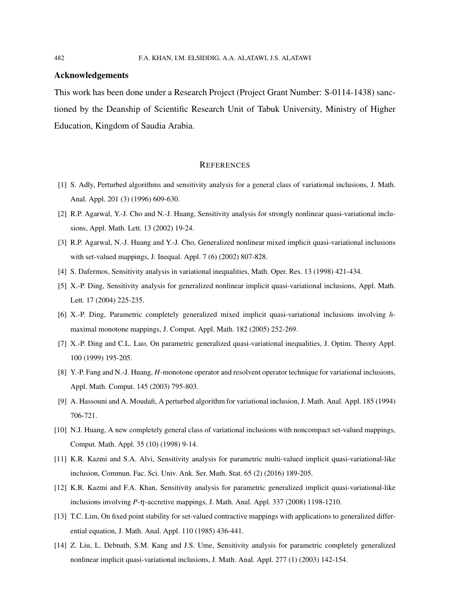#### Acknowledgements

This work has been done under a Research Project (Project Grant Number: S-0114-1438) sanctioned by the Deanship of Scientific Research Unit of Tabuk University, Ministry of Higher Education, Kingdom of Saudia Arabia.

#### **REFERENCES**

- [1] S. Adly, Perturbed algorithms and sensitivity analysis for a general class of variational inclusions, J. Math. Anal. Appl. 201 (3) (1996) 609-630.
- [2] R.P. Agarwal, Y.-J. Cho and N.-J. Huang, Sensitivity analysis for strongly nonlinear quasi-variational inclusions, Appl. Math. Lett. 13 (2002) 19-24.
- [3] R.P. Agarwal, N.-J. Huang and Y.-J. Cho, Generalized nonlinear mixed implicit quasi-variational inclusions with set-valued mappings, J. Inequal. Appl. 7 (6) (2002) 807-828.
- [4] S. Dafermos, Sensitivity analysis in variational inequalities, Math. Oper. Res. 13 (1998) 421-434.
- [5] X.-P. Ding, Sensitivity analysis for generalized nonlinear implicit quasi-variational inclusions, Appl. Math. Lett. 17 (2004) 225-235.
- [6] X.-P. Ding, Parametric completely generalized mixed implicit quasi-variational inclusions involving *h*maximal monotone mappings, J. Comput. Appl. Math. 182 (2005) 252-269.
- [7] X.-P. Ding and C.L. Luo, On parametric generalized quasi-variational inequalities, J. Optim. Theory Appl. 100 (1999) 195-205.
- [8] Y.-P. Fang and N.-J. Huang, *H*-monotone operator and resolvent operator technique for variational inclusions, Appl. Math. Comput. 145 (2003) 795-803.
- [9] A. Hassouni and A. Moudafi, A perturbed algorithm for variational inclusion, J. Math. Anal. Appl. 185 (1994) 706-721.
- [10] N.J. Huang, A new completely general class of variational inclusions with noncompact set-valued mappings, Comput. Math. Appl. 35 (10) (1998) 9-14.
- [11] K.R. Kazmi and S.A. Alvi, Sensitivity analysis for parametric multi-valued implicit quasi-variational-like inclusion, Commun. Fac. Sci. Univ. Ank. Ser. Math. Stat. 65 (2) (2016) 189-205.
- [12] K.R. Kazmi and F.A. Khan, Sensitivity analysis for parametric generalized implicit quasi-variational-like inclusions involving *P*-η-accretive mappings, J. Math. Anal. Appl. 337 (2008) 1198-1210.
- [13] T.C. Lim, On fixed point stability for set-valued contractive mappings with applications to generalized differential equation, J. Math. Anal. Appl. 110 (1985) 436-441.
- [14] Z. Liu, L. Debnath, S.M. Kang and J.S. Ume, Sensitivity analysis for parametric completely generalized nonlinear implicit quasi-variational inclusions, J. Math. Anal. Appl. 277 (1) (2003) 142-154.